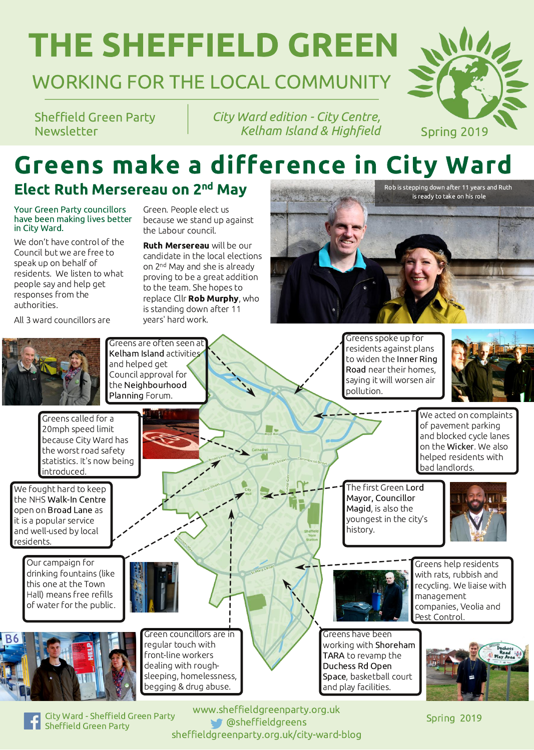# **THE SHEFFIELD GREEN**

## WORKING FOR THE LOCAL COMMUNITY

**Sheffield Green Party** Newsletter

City Ward edition - City Centre, Kelham Island & Highfield

# Greens make a difference in City Ward

#### Elect Ruth Mersereau on 2nd May

**Your Green Party councillors** have been making lives better in City Ward.

We don't have control of the Council but we are free to speak up on behalf of residents. We listen to what people say and help get responses from the authorities.

All 3 ward councillors are

Green. People elect us because we stand up against the Labour council.

**Ruth Mersereau will be our** candidate in the local elections on 2<sup>nd</sup> May and she is already proving to be a great addition to the team. She hopes to replace Cllr Rob Murphy, who is standing down after 11 years' hard work.

Greens are often seen at Kelham Island activities and helped get Council approval for the Neighbourhood Planning Forum.

Greens called for a 20mph speed limit because City Ward has the worst road safety statistics. It's now being introduced.

We fought hard to keep the NHS Walk-In Centre open on Broad Lane as it is a popular service and well-used by local residents.

pollution.

Greens spoke up for residents against plans to widen the Inner Ring Road near their homes. saying it will worsen air



We acted on complaints of pavement parking and blocked cycle lanes on the Wicker. We also helped residents with bad landlords.

The first Green Lord Mayor, Councillor Magid, is also the youngest in the city's history.







Our campaign for drinking fountains (like this one at the Town Hall) means free refills of water for the public.





Green councillors are in regular touch with front-line workers dealing with roughsleeping, homelessness, begging & drug abuse.



Greens help residents with rats, rubbish and recycling. We liaise with management companies, Veolia and Pest Control.

Greens have been working with Shoreham TARA to revamp the Duchess Rd Open Space, basketball court and play facilities.



**City Ward - Sheffield Green Party Sheffield Green Party** 

www.sheffieldgreenparty.org.uk **@sheffieldgreens** sheffieldgreenparty.org.uk/city-ward-blog

Spring 2019